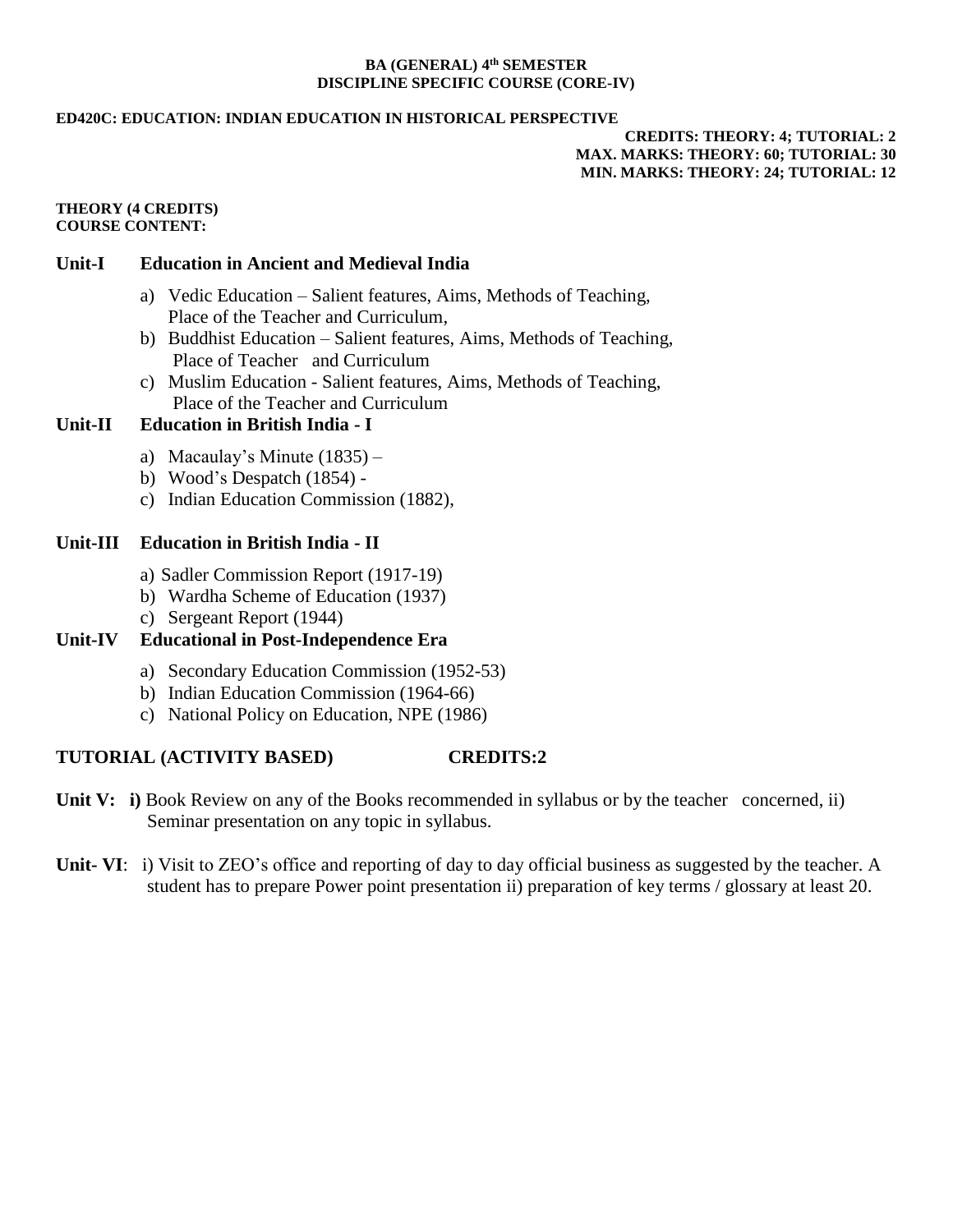#### **BA (GENERAL) 4 th SEMESTER DISCIPLINE SPECIFIC COURSE (CORE-IV)**

#### **ED420C: EDUCATION: INDIAN EDUCATION IN HISTORICAL PERSPECTIVE**

## **CREDITS: THEORY: 4; TUTORIAL: 2 MAX. MARKS: THEORY: 60; TUTORIAL: 30 MIN. MARKS: THEORY: 24; TUTORIAL: 12**

#### **THEORY (4 CREDITS) COURSE CONTENT:**

### **Unit-I Education in Ancient and Medieval India**

- a) Vedic Education Salient features, Aims, Methods of Teaching, Place of the Teacher and Curriculum,
- b) Buddhist Education Salient features, Aims, Methods of Teaching, Place of Teacher and Curriculum
- c) Muslim Education Salient features, Aims, Methods of Teaching, Place of the Teacher and Curriculum

### **Unit-II Education in British India - I**

- a) Macaulay's Minute (1835) –
- b) Wood's Despatch (1854) -
- c) Indian Education Commission (1882),

## **Unit-III Education in British India - II**

- a) Sadler Commission Report (1917-19)
- b) Wardha Scheme of Education (1937)
- c) Sergeant Report (1944)

# **Unit-IV Educational in Post-Independence Era**

- a) Secondary Education Commission (1952-53)
- b) Indian Education Commission (1964-66)
- c) National Policy on Education, NPE (1986)

# **TUTORIAL (ACTIVITY BASED) CREDITS:2**

- **Unit V:** i) Book Review on any of the Books recommended in syllabus or by the teacher concerned, ii) Seminar presentation on any topic in syllabus.
- **Unit- VI**: i) Visit to ZEO's office and reporting of day to day official business as suggested by the teacher. A student has to prepare Power point presentation ii) preparation of key terms / glossary at least 20.